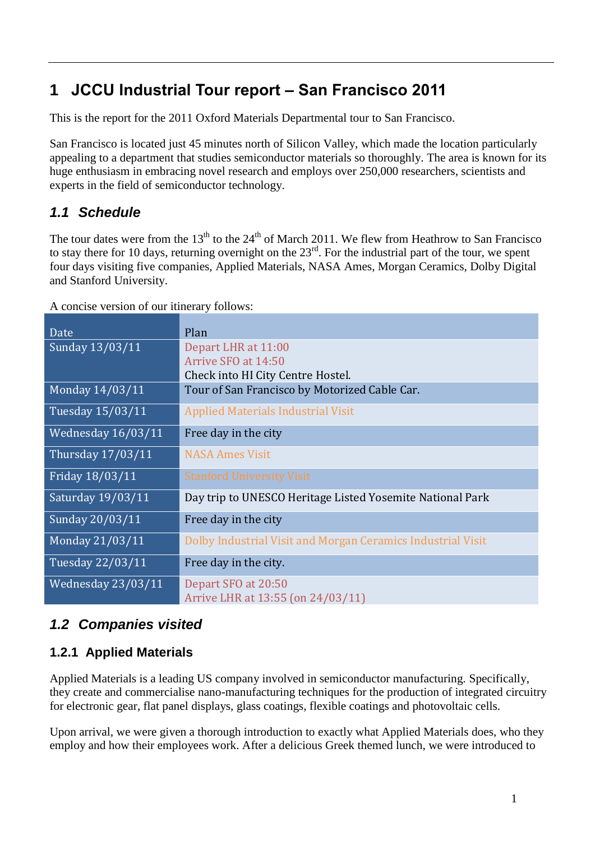# **1 JCCU Industrial Tour report – San Francisco 2011**

This is the report for the 2011 Oxford Materials Departmental tour to San Francisco.

San Francisco is located just 45 minutes north of Silicon Valley, which made the location particularly appealing to a department that studies semiconductor materials so thoroughly. The area is known for its huge enthusiasm in embracing novel research and employs over 250,000 researchers, scientists and experts in the field of semiconductor technology.

# *1.1 Schedule*

The tour dates were from the  $13<sup>th</sup>$  to the  $24<sup>th</sup>$  of March 2011. We flew from Heathrow to San Francisco to stay there for 10 days, returning overnight on the  $23<sup>rd</sup>$ . For the industrial part of the tour, we spent four days visiting five companies, Applied Materials, NASA Ames, Morgan Ceramics, Dolby Digital and Stanford University.

A concise version of our itinerary follows:

| Date               | Plan                                                                            |
|--------------------|---------------------------------------------------------------------------------|
| Sunday 13/03/11    | Depart LHR at 11:00<br>Arrive SFO at 14:50<br>Check into HI City Centre Hostel. |
| Monday 14/03/11    | Tour of San Francisco by Motorized Cable Car.                                   |
| Tuesday 15/03/11   | <b>Applied Materials Industrial Visit</b>                                       |
| Wednesday 16/03/11 | Free day in the city                                                            |
| Thursday 17/03/11  | <b>NASA Ames Visit</b>                                                          |
| Friday 18/03/11    | <b>Stanford University Visit</b>                                                |
| Saturday 19/03/11  | Day trip to UNESCO Heritage Listed Yosemite National Park                       |
| Sunday 20/03/11    | Free day in the city                                                            |
| Monday 21/03/11    | Dolby Industrial Visit and Morgan Ceramics Industrial Visit                     |
| Tuesday 22/03/11   | Free day in the city.                                                           |
| Wednesday 23/03/11 | Depart SFO at 20:50<br>Arrive LHR at 13:55 (on 24/03/11)                        |

# *1.2 Companies visited*

#### **1.2.1 Applied Materials**

Applied Materials is a leading US company involved in semiconductor manufacturing. Specifically, they create and commercialise nano-manufacturing techniques for the production of integrated circuitry for electronic gear, flat panel displays, glass coatings, flexible coatings and photovoltaic cells.

Upon arrival, we were given a thorough introduction to exactly what Applied Materials does, who they employ and how their employees work. After a delicious Greek themed lunch, we were introduced to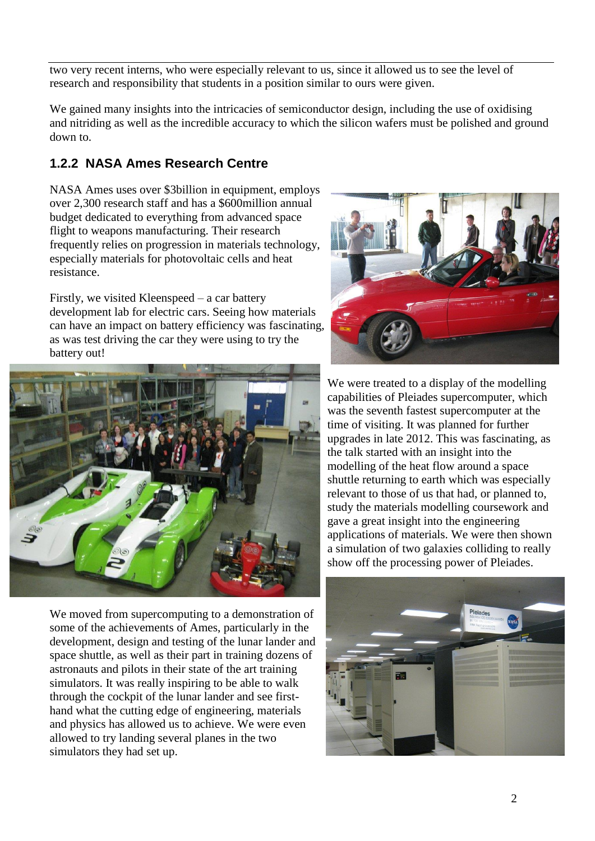2

two very recent interns, who were especially relevant to us, since it allowed us to see the level of research and responsibility that students in a position similar to ours were given.

We gained many insights into the intricacies of semiconductor design, including the use of oxidising and nitriding as well as the incredible accuracy to which the silicon wafers must be polished and ground down to.

#### **1.2.2 NASA Ames Research Centre**

NASA Ames uses over \$3billion in equipment, employs over 2,300 research staff and has a \$600million annual budget dedicated to everything from advanced space flight to weapons manufacturing. Their research frequently relies on progression in materials technology, especially materials for photovoltaic cells and heat resistance.

Firstly, we visited Kleenspeed – a car battery development lab for electric cars. Seeing how materials can have an impact on battery efficiency was fascinating, as was test driving the car they were using to try the battery out!



We moved from supercomputing to a demonstration of some of the achievements of Ames, particularly in the development, design and testing of the lunar lander and space shuttle, as well as their part in training dozens of astronauts and pilots in their state of the art training simulators. It was really inspiring to be able to walk through the cockpit of the lunar lander and see firsthand what the cutting edge of engineering, materials and physics has allowed us to achieve. We were even allowed to try landing several planes in the two simulators they had set up.



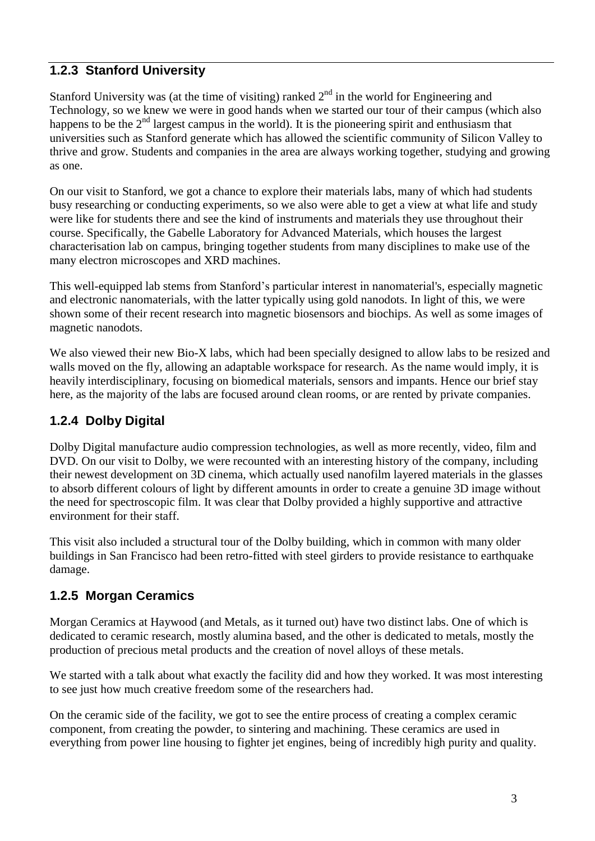#### **1.2.3 Stanford University**

Stanford University was (at the time of visiting) ranked  $2<sup>nd</sup>$  in the world for Engineering and Technology, so we knew we were in good hands when we started our tour of their campus (which also happens to be the  $2<sup>nd</sup>$  largest campus in the world). It is the pioneering spirit and enthusiasm that universities such as Stanford generate which has allowed the scientific community of Silicon Valley to thrive and grow. Students and companies in the area are always working together, studying and growing as one.

On our visit to Stanford, we got a chance to explore their materials labs, many of which had students busy researching or conducting experiments, so we also were able to get a view at what life and study were like for students there and see the kind of instruments and materials they use throughout their course. Specifically, the Gabelle Laboratory for Advanced Materials, which houses the largest characterisation lab on campus, bringing together students from many disciplines to make use of the many electron microscopes and XRD machines.

This well-equipped lab stems from Stanford's particular interest in nanomaterial's, especially magnetic and electronic nanomaterials, with the latter typically using gold nanodots. In light of this, we were shown some of their recent research into magnetic biosensors and biochips. As well as some images of magnetic nanodots.

We also viewed their new Bio-X labs, which had been specially designed to allow labs to be resized and walls moved on the fly, allowing an adaptable workspace for research. As the name would imply, it is heavily interdisciplinary, focusing on biomedical materials, sensors and impants. Hence our brief stay here, as the majority of the labs are focused around clean rooms, or are rented by private companies.

#### **1.2.4 Dolby Digital**

Dolby Digital manufacture audio compression technologies, as well as more recently, video, film and DVD. On our visit to Dolby, we were recounted with an interesting history of the company, including their newest development on 3D cinema, which actually used nanofilm layered materials in the glasses to absorb different colours of light by different amounts in order to create a genuine 3D image without the need for spectroscopic film. It was clear that Dolby provided a highly supportive and attractive environment for their staff.

This visit also included a structural tour of the Dolby building, which in common with many older buildings in San Francisco had been retro-fitted with steel girders to provide resistance to earthquake damage.

#### **1.2.5 Morgan Ceramics**

Morgan Ceramics at Haywood (and Metals, as it turned out) have two distinct labs. One of which is dedicated to ceramic research, mostly alumina based, and the other is dedicated to metals, mostly the production of precious metal products and the creation of novel alloys of these metals.

We started with a talk about what exactly the facility did and how they worked. It was most interesting to see just how much creative freedom some of the researchers had.

On the ceramic side of the facility, we got to see the entire process of creating a complex ceramic component, from creating the powder, to sintering and machining. These ceramics are used in everything from power line housing to fighter jet engines, being of incredibly high purity and quality.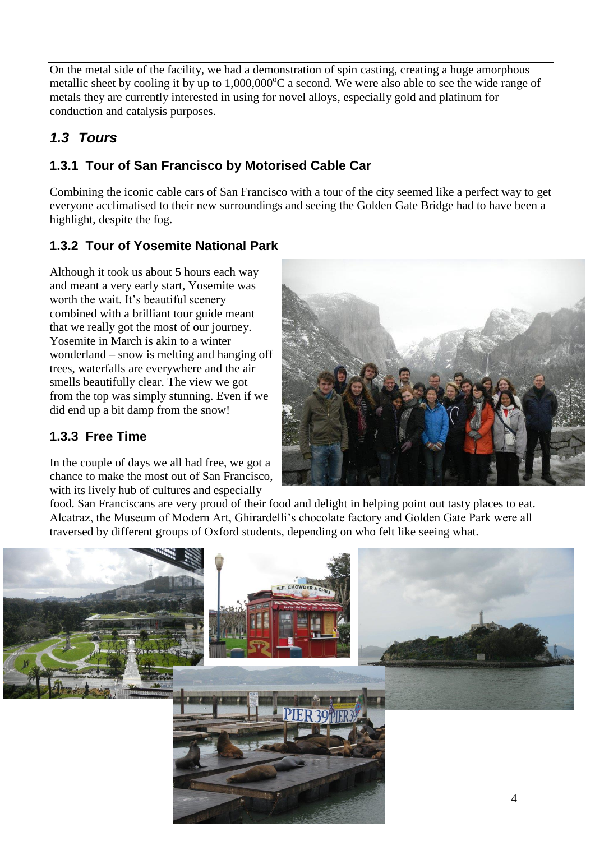On the metal side of the facility, we had a demonstration of spin casting, creating a huge amorphous metallic sheet by cooling it by up to  $1,000,000^{\circ}$ C a second. We were also able to see the wide range of metals they are currently interested in using for novel alloys, especially gold and platinum for conduction and catalysis purposes.

# *1.3 Tours*

# **1.3.1 Tour of San Francisco by Motorised Cable Car**

Combining the iconic cable cars of San Francisco with a tour of the city seemed like a perfect way to get everyone acclimatised to their new surroundings and seeing the Golden Gate Bridge had to have been a highlight, despite the fog.

# **1.3.2 Tour of Yosemite National Park**

Although it took us about 5 hours each way and meant a very early start, Yosemite was worth the wait. It's beautiful scenery combined with a brilliant tour guide meant that we really got the most of our journey. Yosemite in March is akin to a winter wonderland – snow is melting and hanging off trees, waterfalls are everywhere and the air smells beautifully clear. The view we got from the top was simply stunning. Even if we did end up a bit damp from the snow!

#### **1.3.3 Free Time**

In the couple of days we all had free, we got a chance to make the most out of San Francisco, with its lively hub of cultures and especially



food. San Franciscans are very proud of their food and delight in helping point out tasty places to eat. Alcatraz, the Museum of Modern Art, Ghirardelli's chocolate factory and Golden Gate Park were all traversed by different groups of Oxford students, depending on who felt like seeing what.